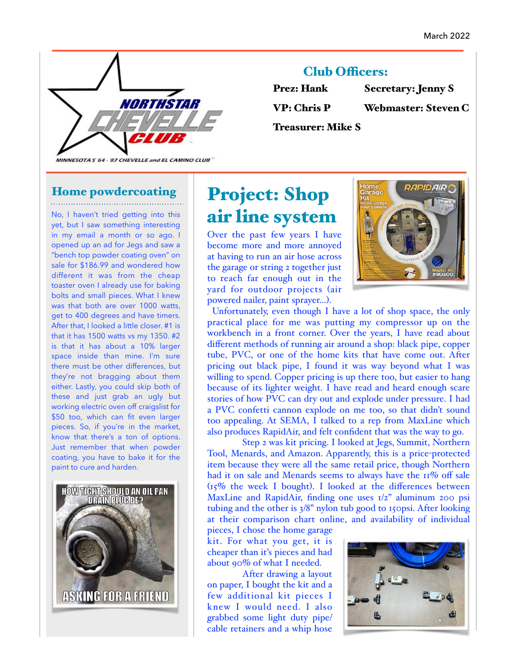

### Club Officers:

| <b>Prez: Hank</b>        | <b>Secretary: Jenny S</b> |
|--------------------------|---------------------------|
| <b>VP: Chris P</b>       | Webmaster: Steven C       |
| <b>Treasurer: Mike S</b> |                           |

MINNESOTA'S '64 - '87 CHEVELLE and EL CAMINO CLUB"

#### Home powdercoating

No, I haven't tried getting into this yet, but I saw something interesting in my email a month or so ago. I opened up an ad for Jegs and saw a "bench top powder coating oven" on sale for \$186.99 and wondered how different it was from the cheap toaster oven I already use for baking bolts and small pieces. What I knew was that both are over 1000 watts, get to 400 degrees and have timers. After that, I looked a little closer. #1 is that it has 1500 watts vs my 1350. #2 is that it has about a 10% larger space inside than mine. I'm sure there must be other differences, but they're not bragging about them either. Lastly, you could skip both of these and just grab an ugly but working electric oven off craigslist for \$50 too, which can fit even larger pieces. So, if you're in the market, know that there's a ton of options. Just remember that when powder coating, you have to bake it for the paint to cure and harden.



# Project: Shop air line system

Over the past few years I have become more and more annoyed at having to run an air hose across the garage or string 2 together just to reach far enough out in the yard for outdoor projects (air powered nailer, paint sprayer…).



Unfortunately, even though I have a lot of shop space, the only practical place for me was putting my compressor up on the workbench in a front corner. Over the years, I have read about different methods of running air around a shop: black pipe, copper tube, PVC, or one of the home kits that have come out. After pricing out black pipe, I found it was way beyond what I was willing to spend. Copper pricing is up there too, but easier to hang because of its lighter weight. I have read and heard enough scare stories of how PVC can dry out and explode under pressure. I had a PVC confetti cannon explode on me too, so that didn't sound too appealing. At SEMA, I talked to a rep from MaxLine which also produces RapidAir, and felt confident that was the way to go.

Step 2 was kit pricing. I looked at Jegs, Summit, Northern Tool, Menards, and Amazon. Apparently, this is a price-protected item because they were all the same retail price, though Northern had it on sale and Menards seems to always have the 11% off sale  $(r_5\%$  the week I bought). I looked at the differences between MaxLine and RapidAir, finding one uses 1/2" aluminum 200 psi tubing and the other is 3/8" nylon tub good to 150psi. After looking at their comparison chart online, and availability of individual

pieces, I chose the home garage kit. For what you get, it is cheaper than it's pieces and had about 90% of what I needed.

After drawing a layout on paper, I bought the kit and a few additional kit pieces I knew I would need. I also grabbed some light duty pipe/ cable retainers and a whip hose

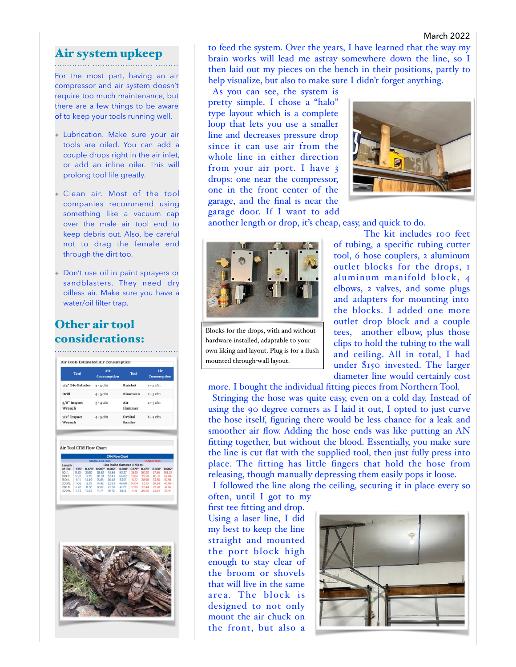#### March 2022

#### Air system upkeep

For the most part, having an air compressor and air system doesn't require too much maintenance, but there are a few things to be aware of to keep your tools running well.

- ✦ Lubrication. Make sure your air tools are oiled. You can add a couple drops right in the air inlet, or add an inline oiler. This will prolong tool life greatly.
- Clean air. Most of the tool companies recommend using something like a vacuum cap over the male air tool end to keep debris out. Also, be careful not to drag the female end through the dirt too.
- Don't use oil in paint sprayers or sandblasters. They need dry oilless air. Make sure you have a water/oil filter trap.

# Other air tool



to feed the system. Over the years, I have learned that the way my brain works will lead me astray somewhere down the line, so I then laid out my pieces on the bench in their positions, partly to help visualize, but also to make sure I didn't forget anything.

As you can see, the system is pretty simple. I chose a "halo" type layout which is a complete loop that lets you use a smaller line and decreases pressure drop since it can use air from the whole line in either direction from your air port. I have 3 drops: one near the compressor, one in the front center of the garage, and the final is near the garage door. If I want to add



another length or drop, it's cheap, easy, and quick to do.



**considerations:** own liking and layout. Plug is for a flush mounted through-wall layout.

The kit includes 100 feet of tubing, a specific tubing cutter tool, 6 hose couplers, 2 aluminum outlet blocks for the drops, 1 aluminum manifold block, 4 elbows, 2 valves, and some plugs and adapters for mounting into the blocks. I added one more outlet drop block and a couple tees, another elbow, plus those clips to hold the tubing to the wall and ceiling. All in total, I had under \$150 invested. The larger diameter line would certainly cost

more. I bought the individual fitting pieces from Northern Tool. Stringing the hose was quite easy, even on a cold day. Instead of using the 90 degree corners as I laid it out, I opted to just curve the hose itself, figuring there would be less chance for a leak and smoother air flow. Adding the hose ends was like putting an AN fitting together, but without the blood. Essentially, you make sure the line is cut flat with the supplied tool, then just fully press into place. The fitting has little fingers that hold the hose from releasing, though manually depressing them easily pops it loose.

I followed the line along the ceiling, securing it in place every so often, until I got to my

first tee fitting and drop. Using a laser line, I did my best to keep the line straight and mounted the port block high enough to stay clear of the broom or shovels that will live in the same area. The block is designed to not only mount the air chuck on the front, but also a